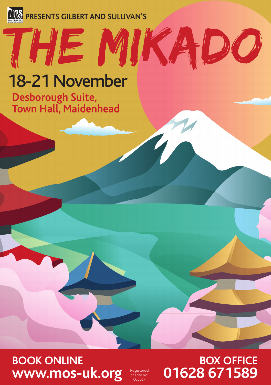

# THE mikado

## 18-21 November

**Desborough Suite, Town Hall, Maidenhead**

#### **BOOK ONLINE www.mos-uk.org**

charity no: 803367

#### **BOX OFFICE**  01628 671589